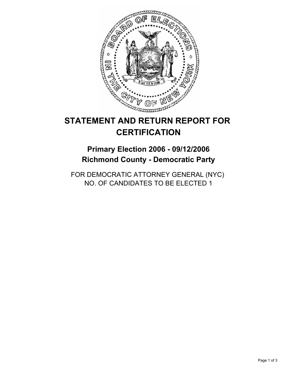

# **STATEMENT AND RETURN REPORT FOR CERTIFICATION**

# **Primary Election 2006 - 09/12/2006 Richmond County - Democratic Party**

FOR DEMOCRATIC ATTORNEY GENERAL (NYC) NO. OF CANDIDATES TO BE ELECTED 1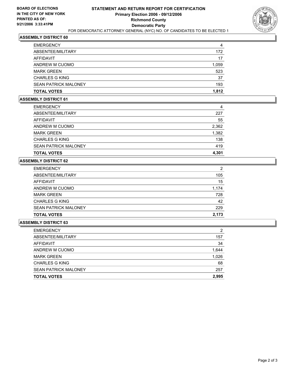

### **ASSEMBLY DISTRICT 60**

| <b>EMERGENCY</b>            | 4     |
|-----------------------------|-------|
| ABSENTEE/MILITARY           | 172   |
| AFFIDAVIT                   | 17    |
| ANDREW M CUOMO              | 1,059 |
| <b>MARK GREEN</b>           | 523   |
| <b>CHARLES G KING</b>       | 37    |
| <b>SEAN PATRICK MALONEY</b> | 193   |
| <b>TOTAL VOTES</b>          | 1,812 |

#### **ASSEMBLY DISTRICT 61**

| <b>EMERGENCY</b>            | 4     |
|-----------------------------|-------|
| ABSENTEE/MILITARY           | 227   |
| AFFIDAVIT                   | 55    |
| ANDREW M CUOMO              | 2,362 |
| <b>MARK GREEN</b>           | 1,382 |
| <b>CHARLES G KING</b>       | 138   |
| <b>SEAN PATRICK MALONEY</b> | 419   |
| <b>TOTAL VOTES</b>          | 4,301 |

### **ASSEMBLY DISTRICT 62**

| <b>EMERGENCY</b>            | 2     |
|-----------------------------|-------|
| ABSENTEE/MILITARY           | 105   |
| AFFIDAVIT                   | 15    |
| ANDREW M CUOMO              | 1,174 |
| <b>MARK GREEN</b>           | 728   |
| <b>CHARLES G KING</b>       | 42    |
| <b>SEAN PATRICK MALONEY</b> | 229   |
| <b>TOTAL VOTES</b>          | 2,173 |

#### **ASSEMBLY DISTRICT 63**

| <b>TOTAL VOTES</b>          | 2,995 |
|-----------------------------|-------|
| <b>SEAN PATRICK MALONEY</b> | 257   |
| <b>CHARLES G KING</b>       | 68    |
| <b>MARK GREEN</b>           | 1,026 |
| ANDREW M CUOMO              | 1,644 |
| AFFIDAVIT                   | 34    |
| ABSENTEE/MILITARY           | 157   |
| <b>EMERGENCY</b>            | ົ     |